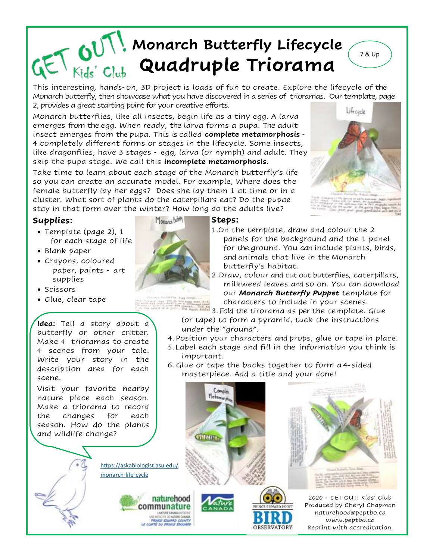## **Monarch Butterfly Lifecycle Quadruple Triorama**

This interesting, hands-on, 3D project is loads of fun to create. Explore the lifecycle of the Monarch butterfly, then showcase what you have discovered in a series of trioramas. Our template, page 2, provides a great starting point for your creative efforts.

Monarch butterflies, like all insects, begin life as a tiny egg. A larva emerges from the egg. When ready, the larva forms a pupa. The adult insect emerges from the pupa. This is called **complete metamorphosis** - 4 completely different forms or stages in the lifecycle. Some insects, like dragonflies, have 3 stages - egg, larva (or nymph) and adult. They skip the pupa stage. We call this **incomplete metamorphosis**.

Take time to learn about each stage of the Monarch butterfly's life so you can create an accurate model. For example, Where does the female butterfly lay her eggs? Does she lay them 1 at time or in a cluster. What sort of plants do the caterpillars eat? Do the pupae stay in that form over the winter? How long do the adults live?

## **Supplies:**

- Template (page 2), 1 for each stage of life
- Blank paper
- Crayons, coloured paper, paints - art supplies



• Glue, clear tape

**Idea:** Tell a story about a butterfly or other critter. Make 4 trioramas to create 4 scenes from your tale. Write your story in the description area for each scene.

Visit your favorite nearby nature place each season. Make a triorama to record the changes for each season. How do the plants and wildlife change?

[https://askabiologist.asu.edu/](https://askabiologist.asu.edu/monarch-life-cycle)

naturehood communature

[monarch-life-cycle](https://askabiologist.asu.edu/monarch-life-cycle)



## **Steps:**

William .

- 1.On the template, draw and colour the 2 panels for the background and the 1 panel for the ground. You can include plants, birds, and animals that live in the Monarch butterfly's habitat.
- 2.Draw, colour and cut out butterflies, caterpillars, milkweed leaves and so on. You can download our *Monarch Butterfly Puppet* template for characters to include in your scenes.

3. Fold the tirorama as per the template. Glue (or tape) to form a pyramid, tuck the instructions under the "ground".

- 4. Position your characters and props, glue or tape in place.
- 5.Label each stage and fill in the information you think is important.
- 6. Glue or tape the backs together to form a 4-sided masterpiece. Add a title and your done!

OBSERVATORY









7 & Up